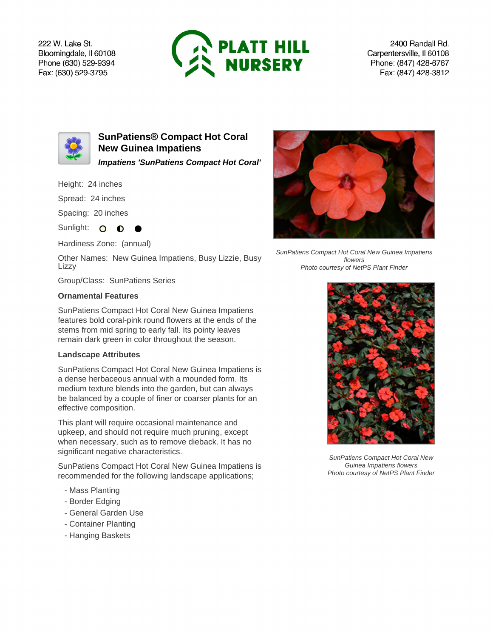222 W. Lake St. Bloomingdale, Il 60108 Phone (630) 529-9394 Fax: (630) 529-3795



2400 Randall Rd. Carpentersville, Il 60108 Phone: (847) 428-6767 Fax: (847) 428-3812



**SunPatiens® Compact Hot Coral New Guinea Impatiens Impatiens 'SunPatiens Compact Hot Coral'**

Height: 24 inches

Spread: 24 inches

Spacing: 20 inches

Sunlight: O **O** 

Hardiness Zone: (annual)

Other Names: New Guinea Impatiens, Busy Lizzie, Busy Lizzy

Group/Class: SunPatiens Series

## **Ornamental Features**

SunPatiens Compact Hot Coral New Guinea Impatiens features bold coral-pink round flowers at the ends of the stems from mid spring to early fall. Its pointy leaves remain dark green in color throughout the season.

## **Landscape Attributes**

SunPatiens Compact Hot Coral New Guinea Impatiens is a dense herbaceous annual with a mounded form. Its medium texture blends into the garden, but can always be balanced by a couple of finer or coarser plants for an effective composition.

This plant will require occasional maintenance and upkeep, and should not require much pruning, except when necessary, such as to remove dieback. It has no significant negative characteristics.

SunPatiens Compact Hot Coral New Guinea Impatiens is recommended for the following landscape applications;

- Mass Planting
- Border Edging
- General Garden Use
- Container Planting
- Hanging Baskets



SunPatiens Compact Hot Coral New Guinea Impatiens flowers Photo courtesy of NetPS Plant Finder



SunPatiens Compact Hot Coral New Guinea Impatiens flowers Photo courtesy of NetPS Plant Finder